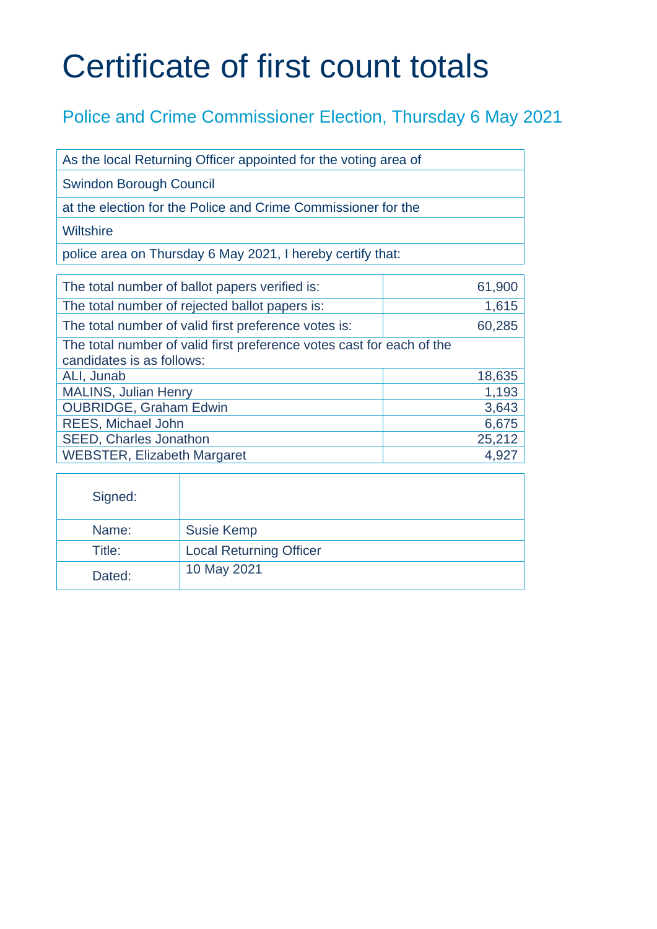## Certificate of first count totals

## Police and Crime Commissioner Election, Thursday 6 May 2021

| As the local Returning Officer appointed for the voting area of |
|-----------------------------------------------------------------|
| <b>Swindon Borough Council</b>                                  |
| at the election for the Police and Crime Commissioner for the   |
| Wiltshire                                                       |
| police area on Thursday 6 May 2021, I hereby certify that:      |

| The total number of ballot papers verified is:<br>61,900                                           |        |  |
|----------------------------------------------------------------------------------------------------|--------|--|
| The total number of rejected ballot papers is:                                                     | 1,615  |  |
| The total number of valid first preference votes is:                                               | 60,285 |  |
| The total number of valid first preference votes cast for each of the<br>candidates is as follows: |        |  |
| ALI, Junab                                                                                         | 18,635 |  |
| <b>MALINS, Julian Henry</b>                                                                        | 1,193  |  |
| <b>OUBRIDGE, Graham Edwin</b>                                                                      | 3,643  |  |
| <b>REES, Michael John</b>                                                                          | 6,675  |  |
| <b>SEED, Charles Jonathon</b>                                                                      | 25,212 |  |
| <b>WEBSTER, Elizabeth Margaret</b>                                                                 | 4,927  |  |

| Signed: |                                |
|---------|--------------------------------|
| Name:   | <b>Susie Kemp</b>              |
| Title:  | <b>Local Returning Officer</b> |
| Dated:  | 10 May 2021                    |